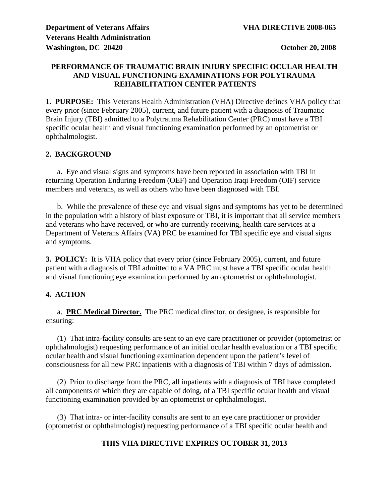# **PERFORMANCE OF TRAUMATIC BRAIN INJURY SPECIFIC OCULAR HEALTH AND VISUAL FUNCTIONING EXAMINATIONS FOR POLYTRAUMA REHABILITATION CENTER PATIENTS**

**1. PURPOSE:** This Veterans Health Administration (VHA) Directive defines VHA policy that every prior (since February 2005), current, and future patient with a diagnosis of Traumatic Brain Injury (TBI) admitted to a Polytrauma Rehabilitation Center (PRC) must have a TBI specific ocular health and visual functioning examination performed by an optometrist or ophthalmologist.

# **2. BACKGROUND**

 a. Eye and visual signs and symptoms have been reported in association with TBI in returning Operation Enduring Freedom (OEF) and Operation Iraqi Freedom (OIF) service members and veterans, as well as others who have been diagnosed with TBI.

 b. While the prevalence of these eye and visual signs and symptoms has yet to be determined in the population with a history of blast exposure or TBI, it is important that all service members and veterans who have received, or who are currently receiving, health care services at a Department of Veterans Affairs (VA) PRC be examined for TBI specific eye and visual signs and symptoms.

**3. POLICY:** It is VHA policy that every prior (since February 2005), current, and future patient with a diagnosis of TBI admitted to a VA PRC must have a TBI specific ocular health and visual functioning eye examination performed by an optometrist or ophthalmologist.

# **4. ACTION**

 a. **PRC Medical Director.** The PRC medical director, or designee, is responsible for ensuring:

 (1) That intra-facility consults are sent to an eye care practitioner or provider (optometrist or ophthalmologist) requesting performance of an initial ocular health evaluation or a TBI specific ocular health and visual functioning examination dependent upon the patient's level of consciousness for all new PRC inpatients with a diagnosis of TBI within 7 days of admission.

 (2) Prior to discharge from the PRC, all inpatients with a diagnosis of TBI have completed all components of which they are capable of doing, of a TBI specific ocular health and visual functioning examination provided by an optometrist or ophthalmologist.

 (3) That intra- or inter-facility consults are sent to an eye care practitioner or provider (optometrist or ophthalmologist) requesting performance of a TBI specific ocular health and

# **THIS VHA DIRECTIVE EXPIRES OCTOBER 31, 2013**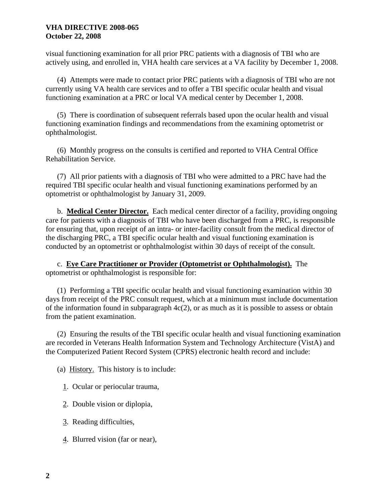#### **VHA DIRECTIVE 2008-065 October 22, 2008**

visual functioning examination for all prior PRC patients with a diagnosis of TBI who are actively using, and enrolled in, VHA health care services at a VA facility by December 1, 2008.

 (4) Attempts were made to contact prior PRC patients with a diagnosis of TBI who are not currently using VA health care services and to offer a TBI specific ocular health and visual functioning examination at a PRC or local VA medical center by December 1, 2008.

 (5) There is coordination of subsequent referrals based upon the ocular health and visual functioning examination findings and recommendations from the examining optometrist or ophthalmologist.

 (6) Monthly progress on the consults is certified and reported to VHA Central Office Rehabilitation Service.

 (7) All prior patients with a diagnosis of TBI who were admitted to a PRC have had the required TBI specific ocular health and visual functioning examinations performed by an optometrist or ophthalmologist by January 31, 2009.

 b. **Medical Center Director.** Each medical center director of a facility, providing ongoing care for patients with a diagnosis of TBI who have been discharged from a PRC, is responsible for ensuring that, upon receipt of an intra- or inter-facility consult from the medical director of the discharging PRC, a TBI specific ocular health and visual functioning examination is conducted by an optometrist or ophthalmologist within 30 days of receipt of the consult.

 c. **Eye Care Practitioner or Provider (Optometrist or Ophthalmologist).** The optometrist or ophthalmologist is responsible for:

 (1) Performing a TBI specific ocular health and visual functioning examination within 30 days from receipt of the PRC consult request, which at a minimum must include documentation of the information found in subparagraph  $4c(2)$ , or as much as it is possible to assess or obtain from the patient examination.

 (2) Ensuring the results of the TBI specific ocular health and visual functioning examination are recorded in Veterans Health Information System and Technology Architecture (VistA) and the Computerized Patient Record System (CPRS) electronic health record and include:

- (a) History. This history is to include:
	- 1. Ocular or periocular trauma,
	- 2. Double vision or diplopia,
	- 3. Reading difficulties,
	- 4. Blurred vision (far or near),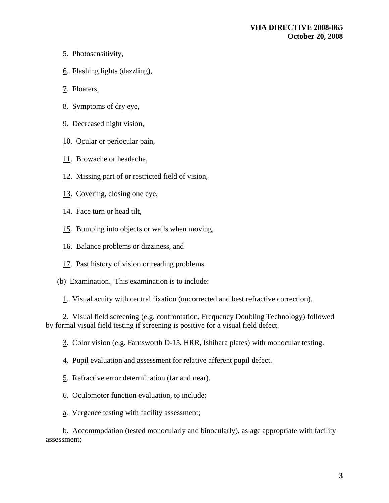- 5. Photosensitivity,
- 6. Flashing lights (dazzling),
- 7. Floaters,
- 8. Symptoms of dry eye,
- 9. Decreased night vision,
- 10. Ocular or periocular pain,
- 11. Browache or headache,
- 12. Missing part of or restricted field of vision,
- 13. Covering, closing one eye,
- 14. Face turn or head tilt,
- 15. Bumping into objects or walls when moving,
- 16. Balance problems or dizziness, and
- 17. Past history of vision or reading problems.
- (b) Examination. This examination is to include:
	- 1. Visual acuity with central fixation (uncorrected and best refractive correction).

 2. Visual field screening (e.g. confrontation, Frequency Doubling Technology) followed by formal visual field testing if screening is positive for a visual field defect.

- 3. Color vision (e.g. Farnsworth D-15, HRR, Ishihara plates) with monocular testing.
- 4. Pupil evaluation and assessment for relative afferent pupil defect.
- 5. Refractive error determination (far and near).
- 6. Oculomotor function evaluation, to include:
- a. Vergence testing with facility assessment;

 b. Accommodation (tested monocularly and binocularly), as age appropriate with facility assessment;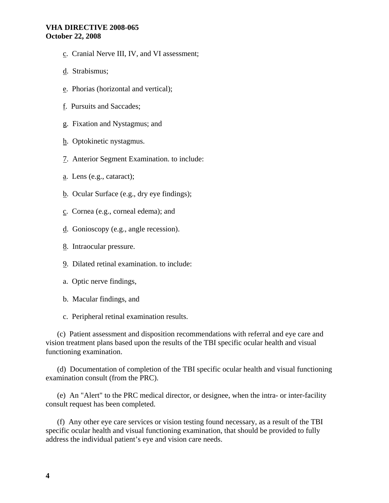#### **VHA DIRECTIVE 2008-065 October 22, 2008**

- c. Cranial Nerve III, IV, and VI assessment;
- d. Strabismus;
- e. Phorias (horizontal and vertical);
- f. Pursuits and Saccades;
- g. Fixation and Nystagmus; and
- h. Optokinetic nystagmus.
- 7. Anterior Segment Examination. to include:
- a. Lens (e.g., cataract);
- b. Ocular Surface (e.g., dry eye findings);
- c. Cornea (e.g., corneal edema); and
- d. Gonioscopy (e.g., angle recession).
- 8. Intraocular pressure.
- 9. Dilated retinal examination. to include:
- a. Optic nerve findings,
- b. Macular findings, and

c. Peripheral retinal examination results.

 (c) Patient assessment and disposition recommendations with referral and eye care and vision treatment plans based upon the results of the TBI specific ocular health and visual functioning examination.

 (d) Documentation of completion of the TBI specific ocular health and visual functioning examination consult (from the PRC).

 (e) An "Alert" to the PRC medical director, or designee, when the intra- or inter-facility consult request has been completed.

 (f) Any other eye care services or vision testing found necessary, as a result of the TBI specific ocular health and visual functioning examination, that should be provided to fully address the individual patient's eye and vision care needs.